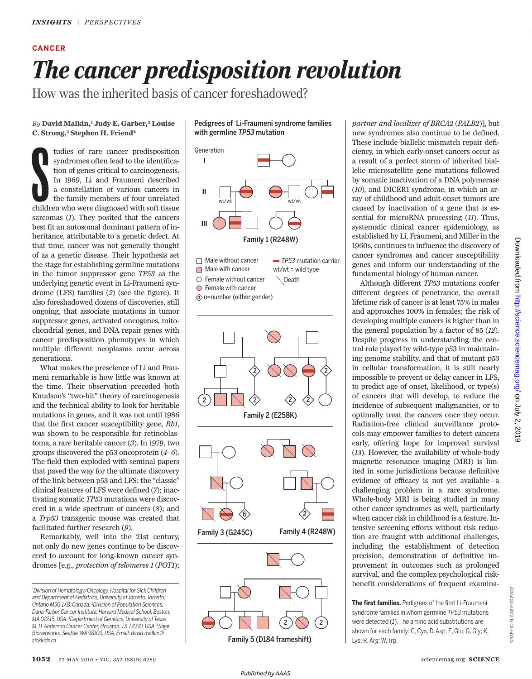## **CANCER** *The cancer predisposition revolution*

How was the inherited basis of cancer foreshadowed?

*By* **David Malkin,<sup>1</sup> Judy E. Garber, 2 Louise C. Strong,<sup>3</sup> Stephen H. Friend<sup>4</sup>**

tudies of rare cancer predisposition syndromes often lead to the identification of genes critical to carcinogenesis. In 1969, Li and Fraumeni described a constellation of various cancers in the family members of four unrel tudies of rare cancer predisposition syndromes often lead to the identification of genes critical to carcinogenesis. In 1969, Li and Fraumeni described a constellation of various cancers in the family members of four unrelated sarcomas (*1*). They posited that the cancers best fit an autosomal dominant pattern of inheritance, attributable to a genetic defect. At that time, cancer was not generally thought of as a genetic disease. Their hypothesis set the stage for establishing germline mutations in the tumor suppressor gene *TP53* as the underlying genetic event in Li-Fraumeni syndrome (LFS) families (*2*) (see the figure). It also foreshadowed dozens of discoveries, still ongoing, that associate mutations in tumor suppressor genes, activated oncogenes, mitochondrial genes, and DNA repair genes with cancer predisposition phenotypes in which multiple different neoplasms occur across generations.

What makes the prescience of Li and Fraumeni remarkable is how little was known at the time. Their observation preceded both Knudson's "two-hit" theory of carcinogenesis and the technical ability to look for heritable mutations in genes, and it was not until 1986 that the first cancer susceptibility gene, *Rb1*, was shown to be responsible for retinoblastoma, a rare heritable cancer (*3*). In 1979, two groups discovered the p53 oncoprotein (*4*–*6*). The field then exploded with seminal papers that paved the way for the ultimate discovery of the link between p53 and LFS: the "classic" clinical features of LFS were defined (*7*); inactivating somatic *TP53* mutations were discovered in a wide spectrum of cancers (*8*); and a *Trp53* transgenic mouse was created that facilitated further research (*9*).

Remarkably, well into the 21st century, not only do new genes continue to be discovered to account for long-known cancer syndromes [e.g., *protection of telomeres 1* (*POT1*); Pedigrees of Li-Fraumeni syndrome families with germline *TP53* mutation





 $\hat{\mathbb{D}}$  n=number (either gender)





Family 3 (G245C) Family 4 (R248W)



*partner and localizer of BRCA2* (*PALB2*)], but new syndromes also continue to be defined. These include biallelic mismatch repair deficiency, in which early-onset cancers occur as a result of a perfect storm of inherited biallelic microsatellite gene mutations followed by somatic inactivation of a DNA polymerase (*10*), and DICER1 syndrome, in which an array of childhood and adult-onset tumors are caused by inactivation of a gene that is essential for microRNA processing (*11*). Thus, systematic clinical cancer epidemiology, as established by Li, Fraumeni, and Miller in the 1960s, continues to influence the discovery of cancer syndromes and cancer susceptibility genes and inform our understanding of the fundamental biology of human cancer.

Although different *TP53* mutations confer different degrees of penetrance, the overall lifetime risk of cancer is at least 75% in males and approaches 100% in females; the risk of developing multiple cancers is higher than in the general population by a factor of 85 (*12*). Despite progress in understanding the central role played by wild-type p53 in maintaining genome stability, and that of mutant p53 in cellular transformation, it is still nearly impossible to prevent or delay cancer in LFS, to predict age of onset, likelihood, or type(s) of cancers that will develop, to reduce the incidence of subsequent malignancies, or to optimally treat the cancers once they occur. Radiation-free clinical surveillance protocols may empower families to detect cancers early, offering hope for improved survival (*13*). However, the availability of whole-body magnetic resonance imaging (MRI) is limited in some jurisdictions because definitive evidence of efficacy is not yet available—a challenging problem in a rare syndrome. Whole-body MRI is being studied in many other cancer syndromes as well, particularly when cancer risk in childhood is a feature. Intensive screening efforts without risk reduction are fraught with additional challenges, including the establishment of detection precision, demonstration of definitive improvement in outcomes such as prolonged survival, and the complex psychological riskbenefit considerations of frequent examina-

**The first families.** Pedigrees of the first Li-Fraumeni syndrome families in whom germline *TP53* mutations were detected (*1*). The amino acid substitutions are shown for each family: C, Cys; D, Asp; E, Glu; G, Gly; K, Lys; R, Arg; W, Trp.

GRAPHIC: N. CARY/*SCIENCE*

GRAPHIC: N. CARY/SCIENCE

*<sup>1</sup>Division of Hematology/Oncology, Hospital for Sick Children and Department of Pediatrics, University of Toronto, Toronto, Ontario M5G 1X8, Canada. <sup>2</sup>Division of Population Sciences, Dana-Farber Cancer Institute, Harvard Medical School, Boston, MA 02215, USA. <sup>3</sup>Department of Genetics, University of Texas M. D. Anderson Cancer Center, Houston, TX 77030, USA. <sup>4</sup>Sage Bionetworks, Seattle, WA 98109, USA. Email: david.malkin@ sickkids.ca*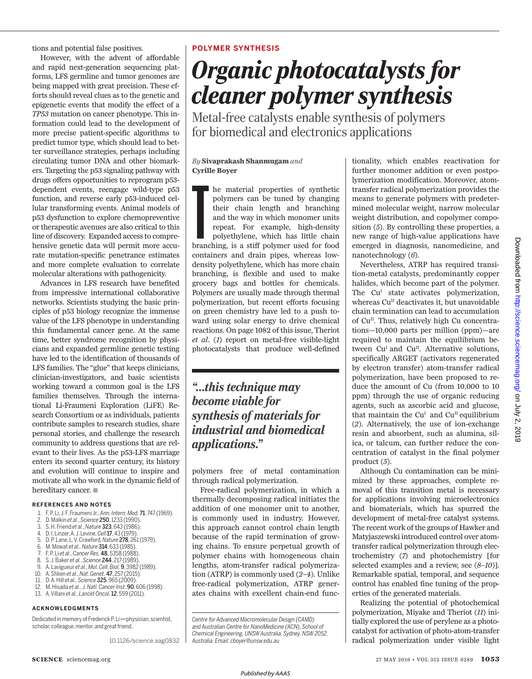tions and potential false positives.

However, with the advent of affordable and rapid next-generation sequencing platforms, LFS germline and tumor genomes are being mapped with great precision. These efforts should reveal clues as to the genetic and epigenetic events that modify the effect of a *TP53* mutation on cancer phenotype. This information could lead to the development of more precise patient-specific algorithms to predict tumor type, which should lead to better surveillance strategies, perhaps including circulating tumor DNA and other biomarkers. Targeting the p53 signaling pathway with drugs offers opportunities to reprogram p53 dependent events, reengage wild-type p53 function, and reverse early p53-induced cellular transforming events. Animal models of p53 dysfunction to explore chemopreventive or therapeutic avenues are also critical to this line of discovery. Expanded access to comprehensive genetic data will permit more accurate mutation-specific penetrance estimates and more complete evaluation to correlate molecular alterations with pathogenicity.

Advances in LFS research have benefited from impressive international collaborative networks. Scientists studying the basic principles of p53 biology recognize the immense value of the LFS phenotype in understanding this fundamental cancer gene. At the same time, better syndrome recognition by physicians and expanded germline genetic testing have led to the identification of thousands of LFS families. The "glue" that keeps clinicians, clinician-investigators, and basic scientists working toward a common goal is the LFS families themselves. Through the international Li-Fraumeni Exploration (LiFE) Research Consortium or as individuals, patients contribute samples to research studies, share personal stories, and challenge the research community to address questions that are relevant to their lives. As the p53-LFS marriage enters its second quarter century, its history and evolution will continue to inspire and motivate all who work in the dynamic field of hereditary cancer.  $\blacksquare$ 

#### **REFERENCES AND NOTES**

- 1. F. P. Li, J. F. Fraumeni Jr., *Ann.Intern. Med.* 71, 747 (1969).
- 2. D. Malkin *et al.*, *Science* 250, 1233 (1990).
- 3. S. H. Friend *et al.*, *Nature* 323, 643 (1986).
- 4. D. I. Linzer, A. J. Levine, *Cell*17, 43 (1979).
- 5. D. P. Lane, L. V. Crawford, *Nature* 278, 261(1979).
- 6. M. Mowat *et al.,Nature* 314, 633 (1985).
- 7. F. P. Li *et al.*, *Cancer Res.* 48, 5358 (1988).
- 8. S. J. Baker *et al.*, *Science* 244, 217 (1989). 9. A. Lavigueur *et al.*, *Mol. Cell.Biol.* 9, 3982 (1989).
- 
- 10. A. Shlien *et al.*, *Nat. Genet.* 47, 257 (2015). 11. D. A.Hill *et al., Science* 325, 965 (2009).
- 12. M. Hisada *et al., J. Natl. CancerInst.* 90, 606 (1998).
- 13. A. Villani *et al.*, *Lancet Oncol.*12, 559 (2011).

### **ACKNOWLEDGMENTS**

Dedicated in memory of Frederick P.Li—physician, scientist, scholar, colleague, mentor, and great friend.

10.1126/science.aag0832

### **POLYMER SYNTHESIS**

# *Organic photocatalysts for cleaner polymer synthesis*

Metal-free catalysts enable synthesis of polymers for biomedical and electronics applications

### *By* **Sivaprakash Shanmugam** *and* **Cyrille Boyer**

he material properties of synthetic polymers can be tuned by changing their chain length and branching and the way in which monomer units repeat. For example, high-density polyethylene, which has little chain branching, is he material properties of synthetic polymers can be tuned by changing their chain length and branching and the way in which monomer units repeat. For example, high-density polyethylene, which has little chain containers and drain pipes, whereas lowdensity polyethylene, which has more chain branching, is flexible and used to make grocery bags and bottles for chemicals. Polymers are usually made through thermal polymerization, but recent efforts focusing on green chemistry have led to a push toward using solar energy to drive chemical reactions. On page 1082 of this issue, Theriot *et al.* (*1*) report on metal-free visible-light photocatalysts that produce well-defined

### *"…this technique may become viable for synthesis of materials for industrial and biomedical applications."*

polymers free of metal contamination through radical polymerization.

Free-radical polymerization, in which a thermally decomposing radical initiates the addition of one monomer unit to another, is commonly used in industry. However, this approach cannot control chain length because of the rapid termination of growing chains. To ensure perpetual growth of polymer chains with homogeneous chain lengths, atom-transfer radical polymerization (ATRP) is commonly used (*2*–*4*). Unlike free-radical polymerization, ATRP generates chains with excellent chain-end func-

*Centre for Advanced Macromolecular Design (CAMD) and Australian Centre for NanoMedicine (ACN), School of Chemical Engineering, UNSWAustralia, Sydney, NSW 2052, Australia. Email: cboyer@unsw.edu.au*

tionality, which enables reactivation for further monomer addition or even postpolymerization modification. Moreover, atomtransfer radical polymerization provides the means to generate polymers with predetermined molecular weight, narrow molecular weight distribution, and copolymer composition (*5*). By controlling these properties, a new range of high-value applications have emerged in diagnosis, nanomedicine, and nanotechnology (*6*).

Nevertheless, ATRP has required transition-metal catalysts, predominantly copper halides, which become part of the polymer. The Cu<sup>1</sup> state activates polymerization, whereas Cu<sup>II</sup> deactivates it, but unavoidable chain termination can lead to accumulation of Cu<sup>II</sup>. Thus, relatively high Cu concentrations—10,000 parts per million (ppm)—are required to maintain the equilibrium between Cu<sup>I</sup> and Cu<sup>II</sup>. Alternative solutions, specifically ARGET (activators regenerated by electron transfer) atom-transfer radical polymerization, have been proposed to reduce the amount of Cu (from 10,000 to 10 ppm) through the use of organic reducing agents, such as ascorbic acid and glucose, that maintain the Cu<sup> $I$ </sup> and Cu<sup>II</sup> equilibrium (*2*). Alternatively, the use of ion-exchange resin and absorbent, such as alumina, silica, or talcum, can further reduce the concentration of catalyst in the final polymer product (*5*).

Although Cu contamination can be minimized by these approaches, complete removal of this transition metal is necessary for applications involving microelectronics and biomaterials, which has spurred the development of metal-free catalyst systems. The recent work of the groups of Hawker and Matyjaszewski introduced control over atomtransfer radical polymerization through electrochemistry (*7*) and photochemistry [for selected examples and a review, see (*8*–*10*)]. Remarkable spatial, temporal, and sequence control has enabled fine tuning of the properties of the generated materials.

Realizing the potential of photochemical polymerization, Miyake and Theriot (*11*) initially explored the use of perylene as a photocatalyst for activation of photo-atom-transfer radical polymerization under visible light